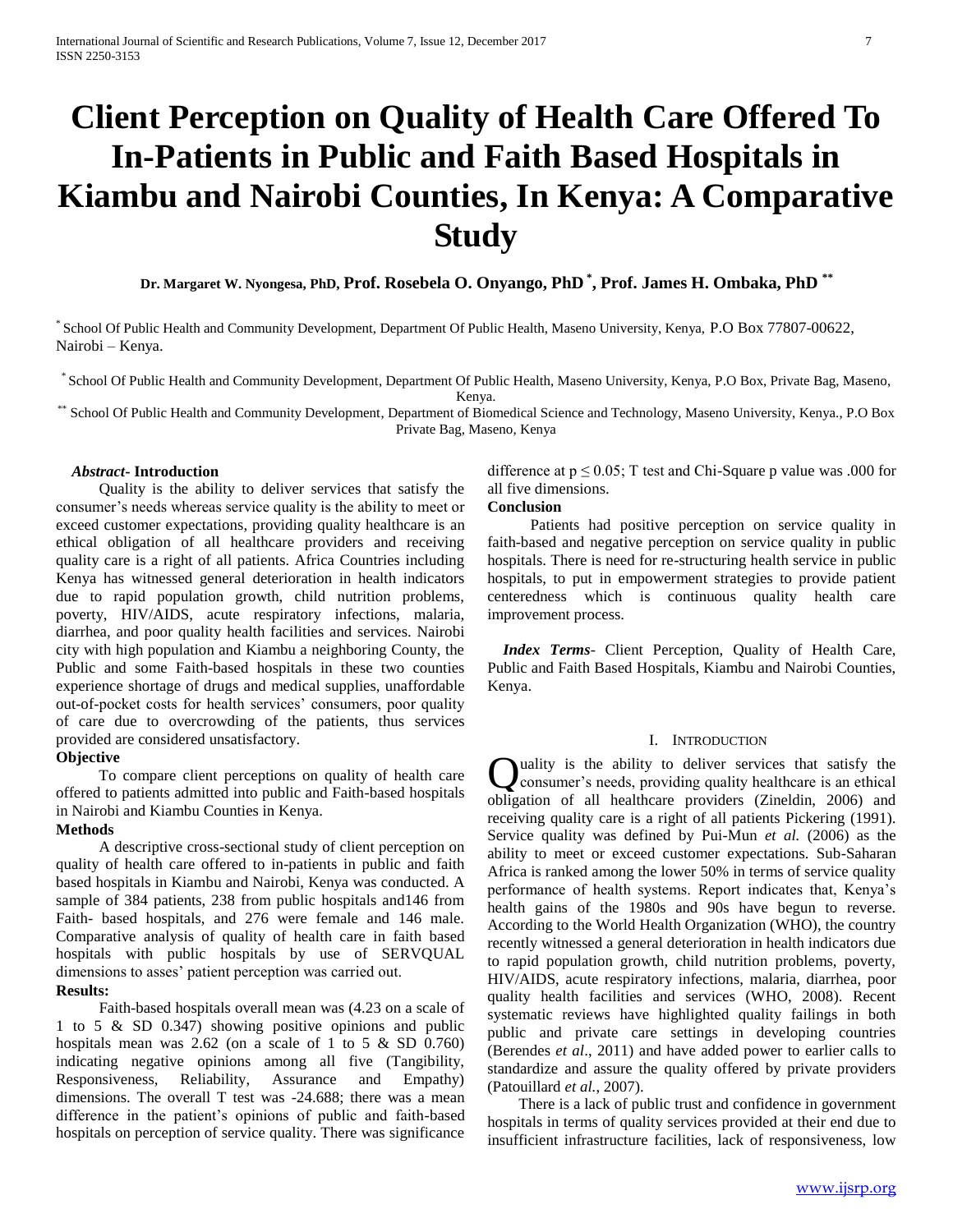# **Client Perception on Quality of Health Care Offered To In-Patients in Public and Faith Based Hospitals in Kiambu and Nairobi Counties, In Kenya: A Comparative Study**

 **Dr. Margaret W. Nyongesa, PhD, Prof. Rosebela O. Onyango, PhD \* , Prof. James H. Ombaka, PhD \*\***

\* School Of Public Health and Community Development, Department Of Public Health, Maseno University, Kenya, P.O Box 77807-00622, Nairobi – Kenya.

\* School Of Public Health and Community Development, Department Of Public Health, Maseno University, Kenya, P.O Box, Private Bag, Maseno,

Kenya.

\*\* School Of Public Health and Community Development, Department of Biomedical Science and Technology, Maseno University, Kenya., P.O Box Private Bag, Maseno, Kenya

### *Abstract***- Introduction**

 Quality is the ability to deliver services that satisfy the consumer's needs whereas service quality is the ability to meet or exceed customer expectations, providing quality healthcare is an ethical obligation of all healthcare providers and receiving quality care is a right of all patients. Africa Countries including Kenya has witnessed general deterioration in health indicators due to rapid population growth, child nutrition problems, poverty, HIV/AIDS, acute respiratory infections, malaria, diarrhea, and poor quality health facilities and services. Nairobi city with high population and Kiambu a neighboring County, the Public and some Faith-based hospitals in these two counties experience shortage of drugs and medical supplies, unaffordable out-of-pocket costs for health services' consumers, poor quality of care due to overcrowding of the patients, thus services provided are considered unsatisfactory.

#### **Objective**

 To compare client perceptions on quality of health care offered to patients admitted into public and Faith-based hospitals in Nairobi and Kiambu Counties in Kenya.

## **Methods**

 A descriptive cross-sectional study of client perception on quality of health care offered to in-patients in public and faith based hospitals in Kiambu and Nairobi, Kenya was conducted. A sample of 384 patients, 238 from public hospitals and146 from Faith- based hospitals, and 276 were female and 146 male. Comparative analysis of quality of health care in faith based hospitals with public hospitals by use of SERVQUAL dimensions to asses' patient perception was carried out.

**Results:** 

 Faith-based hospitals overall mean was (4.23 on a scale of 1 to 5 & SD 0.347) showing positive opinions and public hospitals mean was 2.62 (on a scale of 1 to 5 & SD 0.760) indicating negative opinions among all five (Tangibility, Responsiveness, Reliability, Assurance and Empathy) dimensions. The overall T test was -24.688; there was a mean difference in the patient's opinions of public and faith-based hospitals on perception of service quality. There was significance difference at  $p \le 0.05$ ; T test and Chi-Square p value was .000 for all five dimensions.

## **Conclusion**

 Patients had positive perception on service quality in faith-based and negative perception on service quality in public hospitals. There is need for re-structuring health service in public hospitals, to put in empowerment strategies to provide patient centeredness which is continuous quality health care improvement process.

 *Index Terms*- Client Perception, Quality of Health Care, Public and Faith Based Hospitals, Kiambu and Nairobi Counties, Kenya.

## I. INTRODUCTION

Quality is the ability to deliver services that satisfy the consumer's needs, providing quality healthcare is an ethical consumer's needs, providing quality healthcare is an ethical obligation of all healthcare providers (Zineldin, 2006) and receiving quality care is a right of all patients Pickering (1991). Service quality was defined by Pui-Mun *et al.* (2006) as the ability to meet or exceed customer expectations. Sub-Saharan Africa is ranked among the lower 50% in terms of service quality performance of health systems. Report indicates that, Kenya's health gains of the 1980s and 90s have begun to reverse. According to the World Health Organization (WHO), the country recently witnessed a general deterioration in health indicators due to rapid population growth, child nutrition problems, poverty, HIV/AIDS, acute respiratory infections, malaria, diarrhea, poor quality health facilities and services (WHO, 2008). Recent systematic reviews have highlighted quality failings in both public and private care settings in developing countries (Berendes *et al*., 2011) and have added power to earlier calls to standardize and assure the quality offered by private providers (Patouillard *et al.*, 2007).

 There is a lack of public trust and confidence in government hospitals in terms of quality services provided at their end due to insufficient infrastructure facilities, lack of responsiveness, low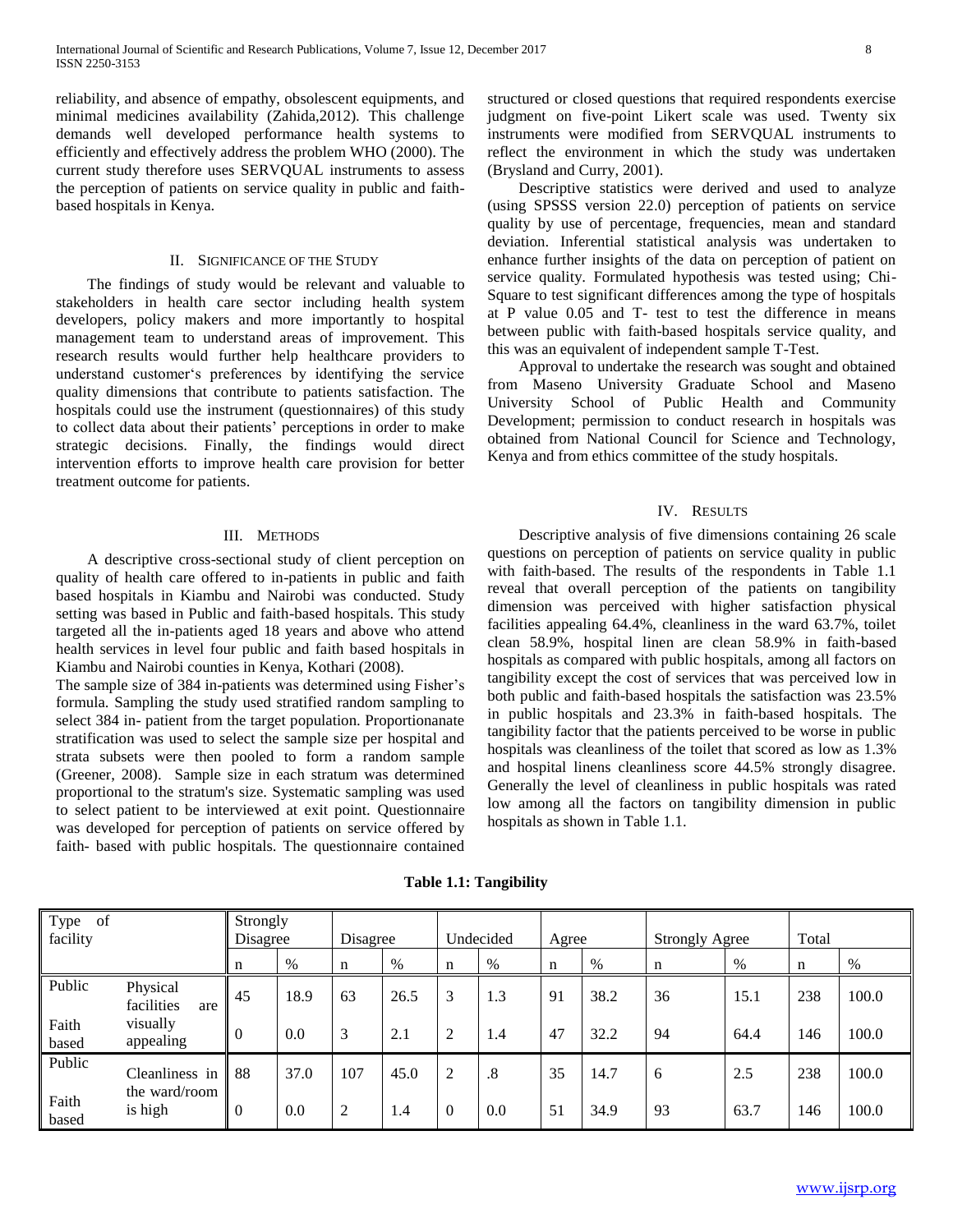reliability, and absence of empathy, obsolescent equipments, and minimal medicines availability (Zahida,2012). This challenge demands well developed performance health systems to efficiently and effectively address the problem WHO (2000). The current study therefore uses SERVQUAL instruments to assess the perception of patients on service quality in public and faithbased hospitals in Kenya.

### II. SIGNIFICANCE OF THE STUDY

 The findings of study would be relevant and valuable to stakeholders in health care sector including health system developers, policy makers and more importantly to hospital management team to understand areas of improvement. This research results would further help healthcare providers to understand customer's preferences by identifying the service quality dimensions that contribute to patients satisfaction. The hospitals could use the instrument (questionnaires) of this study to collect data about their patients' perceptions in order to make strategic decisions. Finally, the findings would direct intervention efforts to improve health care provision for better treatment outcome for patients.

#### III. METHODS

 A descriptive cross-sectional study of client perception on quality of health care offered to in-patients in public and faith based hospitals in Kiambu and Nairobi was conducted. Study setting was based in Public and faith-based hospitals. This study targeted all the in-patients aged 18 years and above who attend health services in level four public and faith based hospitals in Kiambu and Nairobi counties in Kenya, Kothari (2008).

The sample size of 384 in-patients was determined using Fisher's formula. Sampling the study used stratified random sampling to select 384 in- patient from the target population. Proportionanate stratification was used to select the sample size per hospital and strata subsets were then pooled to form a random sample (Greener, 2008). Sample size in each stratum was determined proportional to the stratum's size. Systematic sampling was used to select patient to be interviewed at exit point. Questionnaire was developed for perception of patients on service offered by faith- based with public hospitals. The questionnaire contained

structured or closed questions that required respondents exercise judgment on five-point Likert scale was used. Twenty six instruments were modified from SERVQUAL instruments to reflect the environment in which the study was undertaken (Brysland and Curry, 2001).

 Descriptive statistics were derived and used to analyze (using SPSSS version 22.0) perception of patients on service quality by use of percentage, frequencies, mean and standard deviation. Inferential statistical analysis was undertaken to enhance further insights of the data on perception of patient on service quality. Formulated hypothesis was tested using; Chi-Square to test significant differences among the type of hospitals at P value 0.05 and T- test to test the difference in means between public with faith-based hospitals service quality, and this was an equivalent of independent sample T-Test.

 Approval to undertake the research was sought and obtained from Maseno University Graduate School and Maseno University School of Public Health and Community Development; permission to conduct research in hospitals was obtained from National Council for Science and Technology, Kenya and from ethics committee of the study hospitals.

#### IV. RESULTS

 Descriptive analysis of five dimensions containing 26 scale questions on perception of patients on service quality in public with faith-based. The results of the respondents in Table 1.1 reveal that overall perception of the patients on tangibility dimension was perceived with higher satisfaction physical facilities appealing 64.4%, cleanliness in the ward 63.7%, toilet clean 58.9%, hospital linen are clean 58.9% in faith-based hospitals as compared with public hospitals, among all factors on tangibility except the cost of services that was perceived low in both public and faith-based hospitals the satisfaction was 23.5% in public hospitals and 23.3% in faith-based hospitals. The tangibility factor that the patients perceived to be worse in public hospitals was cleanliness of the toilet that scored as low as 1.3% and hospital linens cleanliness score 44.5% strongly disagree. Generally the level of cleanliness in public hospitals was rated low among all the factors on tangibility dimension in public hospitals as shown in Table 1.1.

| Type<br>of<br>facility |                                 | Strongly<br>Disagree |      | Disagree |      |             | Undecided | Agree       |      | <b>Strongly Agree</b> |      | Total |       |
|------------------------|---------------------------------|----------------------|------|----------|------|-------------|-----------|-------------|------|-----------------------|------|-------|-------|
|                        |                                 | n                    | $\%$ | n        | %    | $\mathbf n$ | $\%$      | $\mathbf n$ | %    | n                     | $\%$ | n     | %     |
| Public                 | Physical<br>facilities<br>are   | 45                   | 18.9 | 63       | 26.5 | 3           | 1.3       | 91          | 38.2 | 36                    | 15.1 | 238   | 100.0 |
| Faith<br>based         | visually<br>appealing           | $\Omega$             | 0.0  | 3        | 2.1  | ↑           | 1.4       | 47          | 32.2 | 94                    | 64.4 | 146   | 100.0 |
| Public                 | Cleanliness in<br>the ward/room | 88                   | 37.0 | 107      | 45.0 | 2           | .8        | 35          | 14.7 | 6                     | 2.5  | 238   | 100.0 |
| Faith<br>based         | is high                         | $\Omega$             | 0.0  | 2        | 1.4  | $\Omega$    | 0.0       | 51          | 34.9 | 93                    | 63.7 | 146   | 100.0 |

**Table 1.1: Tangibility**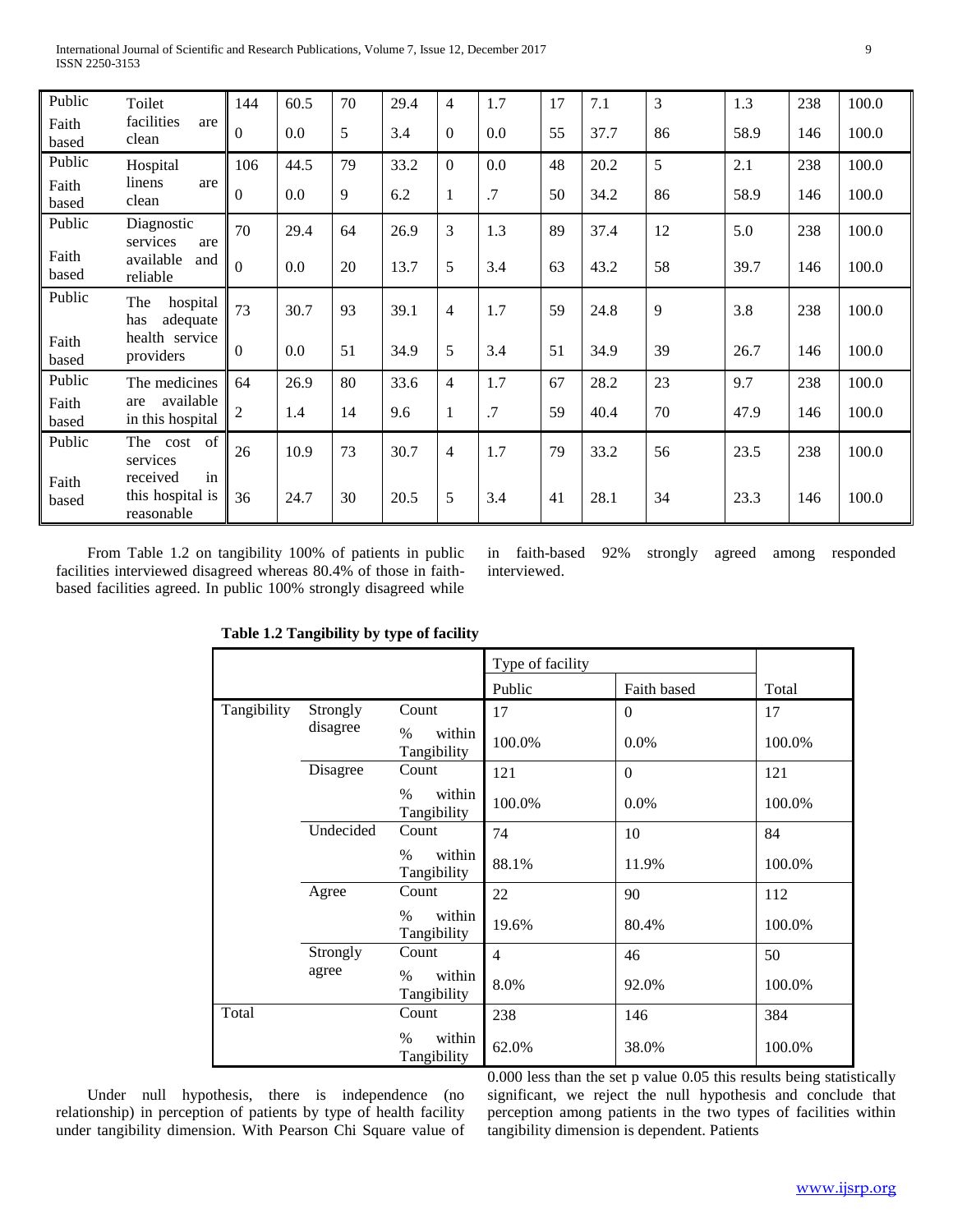| Public         | Toilet                                           | 144          | 60.5 | 70 | 29.4 | $\overline{4}$ | 1.7 | 17 | 7.1  | $\overline{3}$ | 1.3  | 238 | 100.0 |
|----------------|--------------------------------------------------|--------------|------|----|------|----------------|-----|----|------|----------------|------|-----|-------|
| Faith<br>based | facilities<br>are<br>clean                       | $\Omega$     | 0.0  | 5  | 3.4  | $\Omega$       | 0.0 | 55 | 37.7 | 86             | 58.9 | 146 | 100.0 |
| Public         | Hospital                                         | 106          | 44.5 | 79 | 33.2 | $\Omega$       | 0.0 | 48 | 20.2 | 5              | 2.1  | 238 | 100.0 |
| Faith<br>based | linens<br>are<br>clean                           | $\Omega$     | 0.0  | 9  | 6.2  | 1              | .7  | 50 | 34.2 | 86             | 58.9 | 146 | 100.0 |
| Public         | Diagnostic<br>services<br>are                    | 70           | 29.4 | 64 | 26.9 | 3              | 1.3 | 89 | 37.4 | 12             | 5.0  | 238 | 100.0 |
| Faith<br>based | available<br>and<br>reliable                     | $\Omega$     | 0.0  | 20 | 13.7 | 5              | 3.4 | 63 | 43.2 | 58             | 39.7 | 146 | 100.0 |
| Public         | The<br>hospital<br>adequate<br>has               | 73           | 30.7 | 93 | 39.1 | $\overline{4}$ | 1.7 | 59 | 24.8 | 9              | 3.8  | 238 | 100.0 |
| Faith<br>based | health service<br>providers                      | $\mathbf{0}$ | 0.0  | 51 | 34.9 | 5              | 3.4 | 51 | 34.9 | 39             | 26.7 | 146 | 100.0 |
| Public         | The medicines                                    | 64           | 26.9 | 80 | 33.6 | $\overline{4}$ | 1.7 | 67 | 28.2 | 23             | 9.7  | 238 | 100.0 |
| Faith<br>based | available<br>are<br>in this hospital             | 2            | 1.4  | 14 | 9.6  |                | .7  | 59 | 40.4 | 70             | 47.9 | 146 | 100.0 |
| Public         | cost of<br>The<br>services                       | 26           | 10.9 | 73 | 30.7 | $\overline{4}$ | 1.7 | 79 | 33.2 | 56             | 23.5 | 238 | 100.0 |
| Faith<br>based | in<br>received<br>this hospital is<br>reasonable | 36           | 24.7 | 30 | 20.5 | 5              | 3.4 | 41 | 28.1 | 34             | 23.3 | 146 | 100.0 |

 From Table 1.2 on tangibility 100% of patients in public facilities interviewed disagreed whereas 80.4% of those in faithbased facilities agreed. In public 100% strongly disagreed while

in faith-based 92% strongly agreed among responded interviewed.

|             |           |                               | Type of facility |             |        |
|-------------|-----------|-------------------------------|------------------|-------------|--------|
|             |           |                               | Public           | Faith based | Total  |
| Tangibility | Strongly  | Count                         | 17               | $\theta$    | 17     |
|             | disagree  | $\%$<br>within<br>Tangibility | 100.0%           | 0.0%        | 100.0% |
|             | Disagree  | Count                         | 121              | $\Omega$    | 121    |
|             |           | within<br>$\%$<br>Tangibility | 100.0%           | $0.0\%$     | 100.0% |
|             | Undecided | Count                         | 74               | 10          | 84     |
|             |           | within<br>$\%$<br>Tangibility | 88.1%            | 11.9%       | 100.0% |
|             | Agree     | Count                         | 22               | 90          | 112    |
|             |           | within<br>$\%$<br>Tangibility | 19.6%            | 80.4%       | 100.0% |
|             | Strongly  | Count                         | $\overline{4}$   | 46          | 50     |
|             | agree     | within<br>$\%$<br>Tangibility | 8.0%             | 92.0%       | 100.0% |
| Total       |           | Count                         | 238              | 146         | 384    |
|             |           | within<br>$\%$<br>Tangibility | 62.0%            | 38.0%       | 100.0% |

**Table 1.2 Tangibility by type of facility**

 Under null hypothesis, there is independence (no relationship) in perception of patients by type of health facility under tangibility dimension. With Pearson Chi Square value of 0.000 less than the set p value 0.05 this results being statistically significant, we reject the null hypothesis and conclude that perception among patients in the two types of facilities within tangibility dimension is dependent. Patients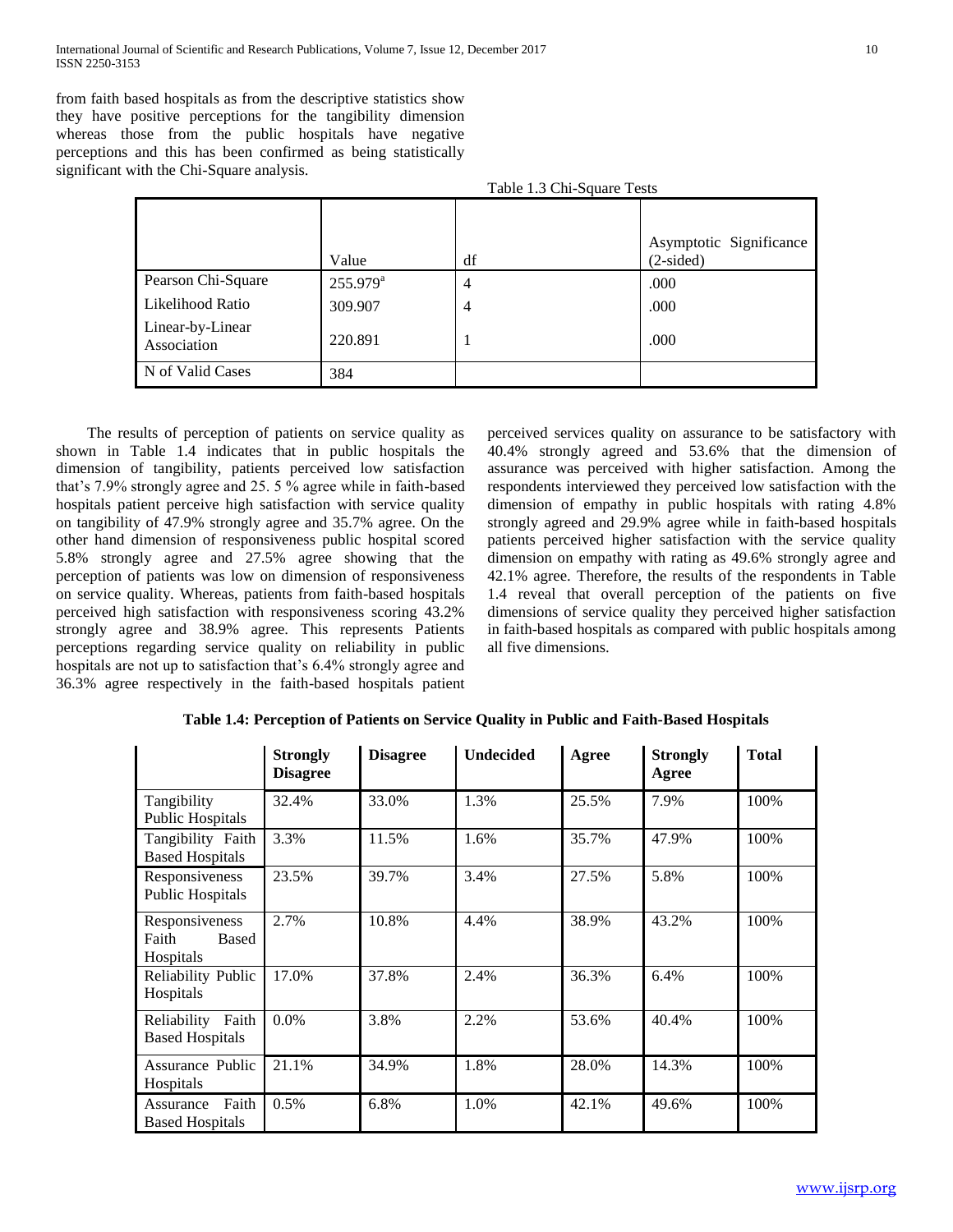from faith based hospitals as from the descriptive statistics show they have positive perceptions for the tangibility dimension whereas those from the public hospitals have negative perceptions and this has been confirmed as being statistically significant with the Chi-Square analysis.

|                                 |                   | Table 1.3 Chi-Square Tests |                                        |
|---------------------------------|-------------------|----------------------------|----------------------------------------|
|                                 | Value             | df                         | Asymptotic Significance<br>$(2-sided)$ |
| Pearson Chi-Square              | $255.979^{\rm a}$ | $\overline{4}$             | .000                                   |
| Likelihood Ratio                | 309.907           | $\overline{4}$             | .000                                   |
| Linear-by-Linear<br>Association | 220.891           |                            | .000                                   |
| N of Valid Cases                | 384               |                            |                                        |

 The results of perception of patients on service quality as shown in Table 1.4 indicates that in public hospitals the dimension of tangibility, patients perceived low satisfaction that's 7.9% strongly agree and 25. 5 % agree while in faith-based hospitals patient perceive high satisfaction with service quality on tangibility of 47.9% strongly agree and 35.7% agree. On the other hand dimension of responsiveness public hospital scored 5.8% strongly agree and 27.5% agree showing that the perception of patients was low on dimension of responsiveness on service quality. Whereas, patients from faith-based hospitals perceived high satisfaction with responsiveness scoring 43.2% strongly agree and 38.9% agree. This represents Patients perceptions regarding service quality on reliability in public hospitals are not up to satisfaction that's 6.4% strongly agree and 36.3% agree respectively in the faith-based hospitals patient

perceived services quality on assurance to be satisfactory with 40.4% strongly agreed and 53.6% that the dimension of assurance was perceived with higher satisfaction. Among the respondents interviewed they perceived low satisfaction with the dimension of empathy in public hospitals with rating 4.8% strongly agreed and 29.9% agree while in faith-based hospitals patients perceived higher satisfaction with the service quality dimension on empathy with rating as 49.6% strongly agree and 42.1% agree. Therefore, the results of the respondents in Table 1.4 reveal that overall perception of the patients on five dimensions of service quality they perceived higher satisfaction in faith-based hospitals as compared with public hospitals among all five dimensions.

|                                                      | <b>Strongly</b><br><b>Disagree</b> | <b>Disagree</b> | <b>Undecided</b> | Agree | <b>Strongly</b><br>Agree | <b>Total</b> |
|------------------------------------------------------|------------------------------------|-----------------|------------------|-------|--------------------------|--------------|
| Tangibility<br><b>Public Hospitals</b>               | 32.4%                              | 33.0%           | 1.3%             | 25.5% | 7.9%                     | 100%         |
| Tangibility Faith<br><b>Based Hospitals</b>          | 3.3%                               | 11.5%           | 1.6%             | 35.7% | 47.9%                    | 100%         |
| Responsiveness<br><b>Public Hospitals</b>            | 23.5%                              | 39.7%           | 3.4%             | 27.5% | 5.8%                     | 100%         |
| Responsiveness<br>Faith<br>Based<br><b>Hospitals</b> | 2.7%                               | 10.8%           | 4.4%             | 38.9% | 43.2%                    | 100%         |
| <b>Reliability Public</b><br>Hospitals               | 17.0%                              | 37.8%           | 2.4%             | 36.3% | 6.4%                     | 100%         |
| Reliability Faith<br><b>Based Hospitals</b>          | 0.0%                               | 3.8%            | 2.2%             | 53.6% | 40.4%                    | 100%         |
| Assurance Public<br>Hospitals                        | 21.1%                              | 34.9%           | 1.8%             | 28.0% | 14.3%                    | 100%         |
| Faith<br>Assurance<br><b>Based Hospitals</b>         | 0.5%                               | 6.8%            | 1.0%             | 42.1% | 49.6%                    | 100%         |

**Table 1.4: Perception of Patients on Service Quality in Public and Faith-Based Hospitals**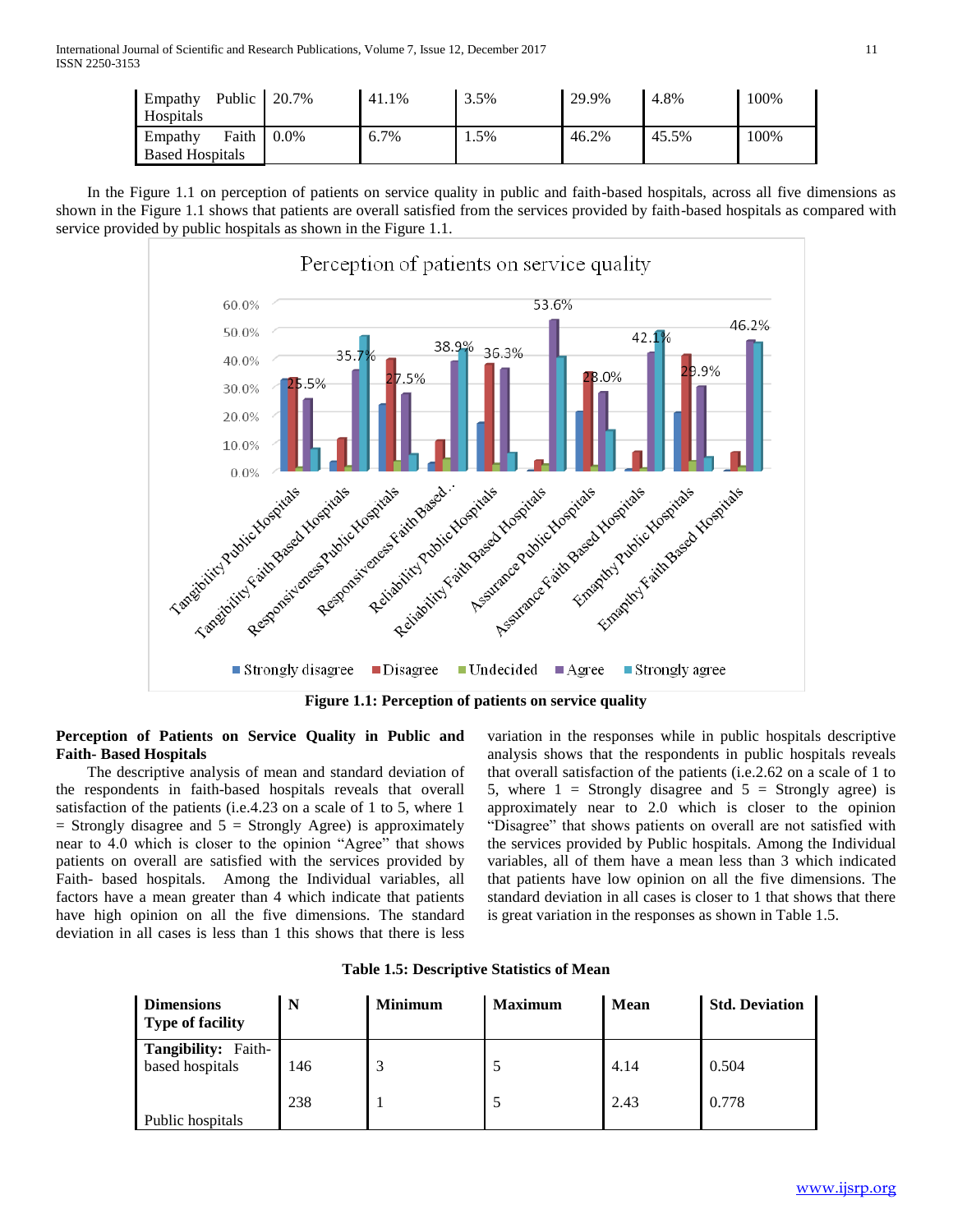| Public<br>Empathy<br>Hospitals             | 20.7%   | 41.1% | 3.5% | 29.9% | 4.8%  | 100% |
|--------------------------------------------|---------|-------|------|-------|-------|------|
| Faith<br>Empathy<br><b>Based Hospitals</b> | $0.0\%$ | 6.7%  | 1.5% | 46.2% | 45.5% | 100% |

 In the Figure 1.1 on perception of patients on service quality in public and faith-based hospitals, across all five dimensions as shown in the Figure 1.1 shows that patients are overall satisfied from the services provided by faith-based hospitals as compared with service provided by public hospitals as shown in the Figure 1.1.



**Figure 1.1: Perception of patients on service quality**

## **Perception of Patients on Service Quality in Public and Faith- Based Hospitals**

 The descriptive analysis of mean and standard deviation of the respondents in faith-based hospitals reveals that overall satisfaction of the patients (i.e.4.23 on a scale of 1 to 5, where 1  $=$  Strongly disagree and  $5 =$  Strongly Agree) is approximately near to 4.0 which is closer to the opinion "Agree" that shows patients on overall are satisfied with the services provided by Faith- based hospitals. Among the Individual variables, all factors have a mean greater than 4 which indicate that patients have high opinion on all the five dimensions. The standard deviation in all cases is less than 1 this shows that there is less

variation in the responses while in public hospitals descriptive analysis shows that the respondents in public hospitals reveals that overall satisfaction of the patients (i.e.2.62 on a scale of 1 to 5, where  $1 =$  Strongly disagree and  $5 =$  Strongly agree) is approximately near to 2.0 which is closer to the opinion "Disagree" that shows patients on overall are not satisfied with the services provided by Public hospitals. Among the Individual variables, all of them have a mean less than 3 which indicated that patients have low opinion on all the five dimensions. The standard deviation in all cases is closer to 1 that shows that there is great variation in the responses as shown in Table 1.5.

| <b>Dimensions</b><br><b>Type of facility</b> | N   | <b>Minimum</b> | <b>Maximum</b> | <b>Mean</b> | <b>Std. Deviation</b> |
|----------------------------------------------|-----|----------------|----------------|-------------|-----------------------|
| Tangibility: Faith-<br>based hospitals       | 146 | 3              |                | 4.14        | 0.504                 |
| Public hospitals                             | 238 |                |                | 2.43        | 0.778                 |

**Table 1.5: Descriptive Statistics of Mean**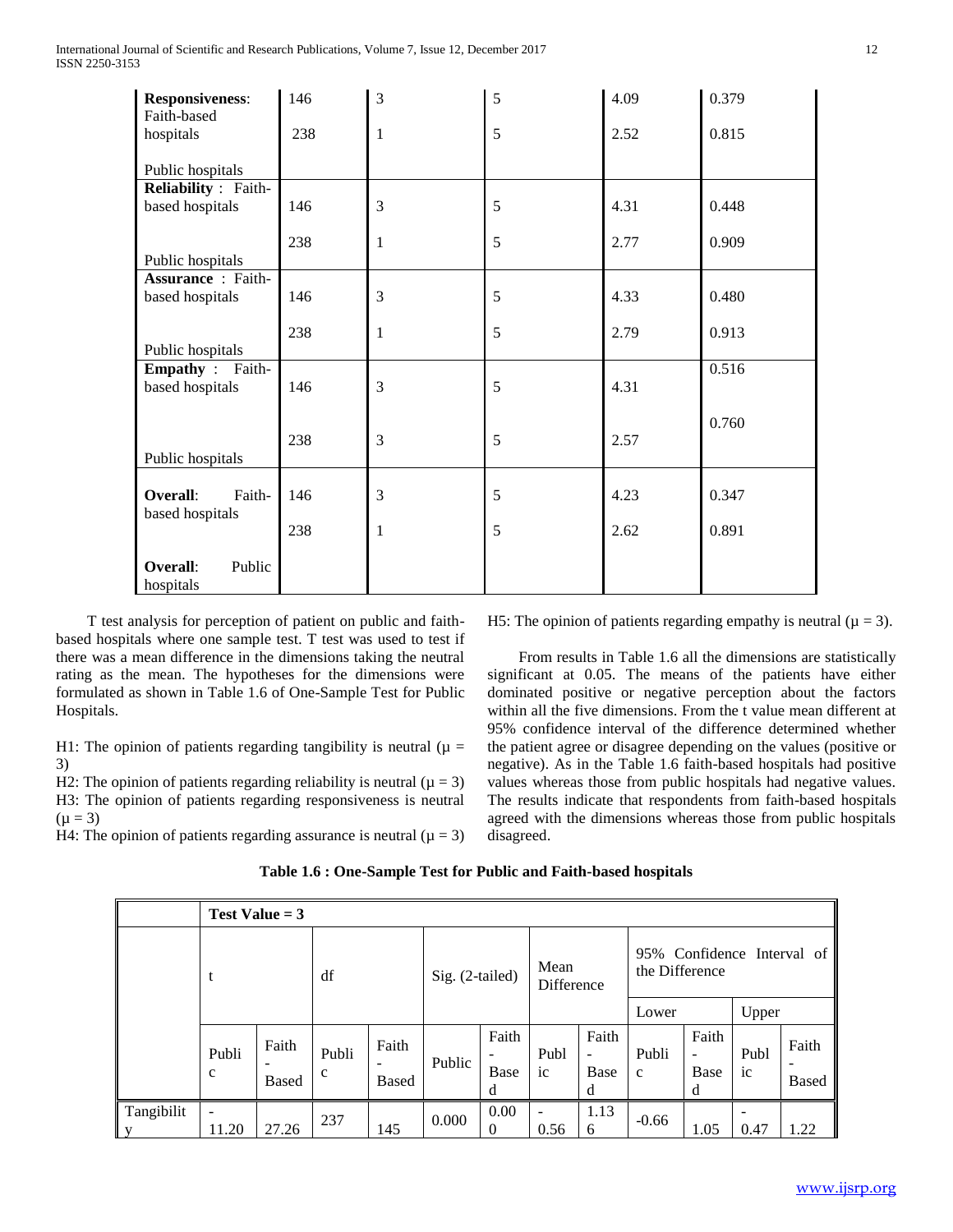| <b>Responsiveness:</b><br>Faith-based      | 146 | 3 | 5 | 4.09 | 0.379 |
|--------------------------------------------|-----|---|---|------|-------|
| hospitals                                  | 238 | 1 | 5 | 2.52 | 0.815 |
| Public hospitals                           |     |   |   |      |       |
| Reliability : Faith-                       |     |   |   |      |       |
| based hospitals                            | 146 | 3 | 5 | 4.31 | 0.448 |
|                                            | 238 | 1 | 5 | 2.77 | 0.909 |
| Public hospitals                           |     |   |   |      |       |
| <b>Assurance</b> : Faith-                  |     |   |   |      |       |
| based hospitals                            | 146 | 3 | 5 | 4.33 | 0.480 |
|                                            |     |   |   |      |       |
|                                            | 238 | 1 | 5 | 2.79 | 0.913 |
| Public hospitals                           |     |   |   |      |       |
| <b>Empathy</b> : Faith-<br>based hospitals | 146 | 3 | 5 | 4.31 | 0.516 |
|                                            |     |   |   |      |       |
|                                            |     |   |   |      | 0.760 |
|                                            | 238 | 3 | 5 | 2.57 |       |
| Public hospitals                           |     |   |   |      |       |
|                                            |     |   |   |      |       |
| Overall:<br>Faith-                         | 146 | 3 | 5 | 4.23 | 0.347 |
| based hospitals                            |     |   |   |      |       |
|                                            | 238 | 1 | 5 | 2.62 | 0.891 |
|                                            |     |   |   |      |       |
| Overall:<br>Public                         |     |   |   |      |       |
| hospitals                                  |     |   |   |      |       |

 T test analysis for perception of patient on public and faithbased hospitals where one sample test. T test was used to test if there was a mean difference in the dimensions taking the neutral rating as the mean. The hypotheses for the dimensions were formulated as shown in Table 1.6 of One-Sample Test for Public Hospitals.

H1: The opinion of patients regarding tangibility is neutral ( $\mu$  = 3)

H2: The opinion of patients regarding reliability is neutral ( $\mu = 3$ ) H3: The opinion of patients regarding responsiveness is neutral  $(\mu = 3)$ 

H4: The opinion of patients regarding assurance is neutral ( $\mu = 3$ )

H5: The opinion of patients regarding empathy is neutral ( $\mu = 3$ ).

 From results in Table 1.6 all the dimensions are statistically significant at 0.05. The means of the patients have either dominated positive or negative perception about the factors within all the five dimensions. From the t value mean different at 95% confidence interval of the difference determined whether the patient agree or disagree depending on the values (positive or negative). As in the Table 1.6 faith-based hospitals had positive values whereas those from public hospitals had negative values. The results indicate that respondents from faith-based hospitals agreed with the dimensions whereas those from public hospitals disagreed.

|                 |                      | Test Value $=$ 3      |                      |                       |                 |                        |                    |                         |                                                                |                         |                        |                       |
|-----------------|----------------------|-----------------------|----------------------|-----------------------|-----------------|------------------------|--------------------|-------------------------|----------------------------------------------------------------|-------------------------|------------------------|-----------------------|
|                 |                      |                       | df                   |                       | Sig. (2-tailed) |                        | Mean<br>Difference |                         | 95% Confidence Interval of<br>the Difference<br>Upper<br>Lower |                         |                        |                       |
|                 |                      |                       |                      |                       |                 |                        |                    |                         |                                                                |                         |                        |                       |
|                 | Publi<br>$\mathbf c$ | Faith<br><b>Based</b> | Publi<br>$\mathbf c$ | Faith<br><b>Based</b> | Public          | Faith<br>Base<br>d     | Publ<br>ic         | Faith<br>۰<br>Base<br>d | Publi<br>$\mathbf{C}$                                          | Faith<br>-<br>Base<br>d | Publ<br>1 <sup>c</sup> | Faith<br><b>Based</b> |
| Tangibilit<br>y | 11.20                | 27.26                 | 237                  | 145                   | 0.000           | 0.00<br>$\overline{0}$ | ۰<br>0.56          | 1.13<br>6               | $-0.66$                                                        | 1.05                    | 0.47                   | 1.22                  |

## **Table 1.6 : One-Sample Test for Public and Faith-based hospitals**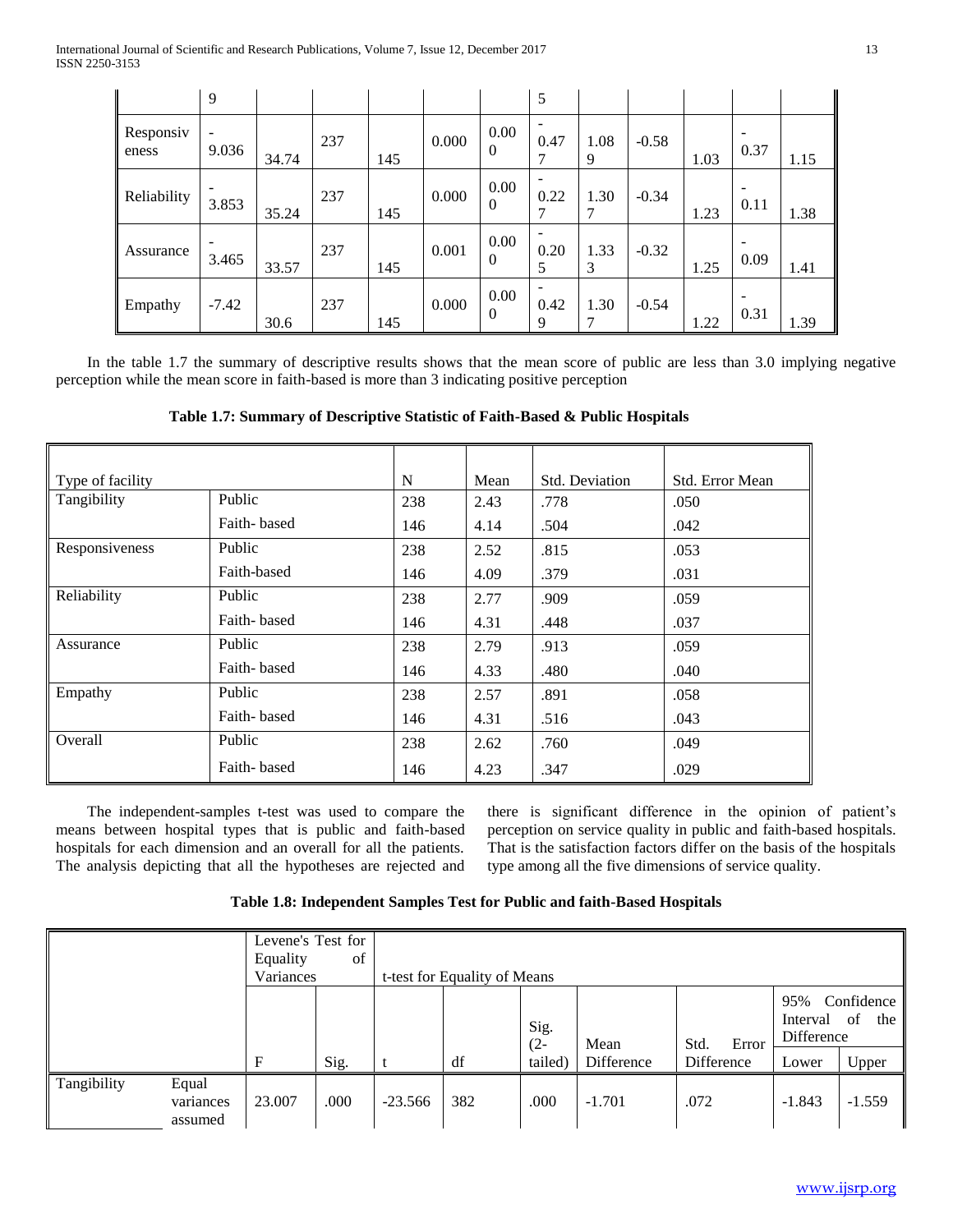|                    | 9                                 |       |     |     |       |                        | 5         |           |         |      |      |      |
|--------------------|-----------------------------------|-------|-----|-----|-------|------------------------|-----------|-----------|---------|------|------|------|
| Responsiv<br>eness | $\overline{\phantom{a}}$<br>9.036 | 34.74 | 237 | 145 | 0.000 | 0.00<br>$\overline{0}$ | 0.47<br>7 | 1.08<br>9 | $-0.58$ | 1.03 | 0.37 | 1.15 |
| Reliability        | 3.853                             | 35.24 | 237 | 145 | 0.000 | $0.00\,$<br>$\Omega$   | 0.22      | 1.30      | $-0.34$ | 1.23 | 0.11 | 1.38 |
| Assurance          | 3.465                             | 33.57 | 237 | 145 | 0.001 | 0.00<br>$\overline{0}$ | 0.20<br>5 | 1.33<br>3 | $-0.32$ | 1.25 | 0.09 | 1.41 |
| Empathy            | $-7.42$                           | 30.6  | 237 | 145 | 0.000 | 0.00<br>$\mathbf{0}$   | 0.42<br>9 | 1.30<br>7 | $-0.54$ | 1.22 | 0.31 | 1.39 |

 In the table 1.7 the summary of descriptive results shows that the mean score of public are less than 3.0 implying negative perception while the mean score in faith-based is more than 3 indicating positive perception

**Table 1.7: Summary of Descriptive Statistic of Faith-Based & Public Hospitals**

| Type of facility |             | N   | Mean | <b>Std. Deviation</b> | Std. Error Mean |
|------------------|-------------|-----|------|-----------------------|-----------------|
| Tangibility      | Public      | 238 | 2.43 | .778                  | .050            |
|                  | Faith-based | 146 | 4.14 | .504                  | .042            |
| Responsiveness   | Public      | 238 | 2.52 | .815                  | .053            |
|                  | Faith-based | 146 | 4.09 | .379                  | .031            |
| Reliability      | Public      | 238 | 2.77 | .909                  | .059            |
|                  | Faith-based | 146 | 4.31 | .448                  | .037            |
| Assurance        | Public      | 238 | 2.79 | .913                  | .059            |
|                  | Faith-based | 146 | 4.33 | .480                  | .040            |
| Empathy          | Public      | 238 | 2.57 | .891                  | .058            |
|                  | Faith-based | 146 | 4.31 | .516                  | .043            |
| Overall          | Public      | 238 | 2.62 | .760                  | .049            |
|                  | Faith-based | 146 | 4.23 | .347                  | .029            |

 The independent-samples t-test was used to compare the means between hospital types that is public and faith-based hospitals for each dimension and an overall for all the patients. The analysis depicting that all the hypotheses are rejected and there is significant difference in the opinion of patient's perception on service quality in public and faith-based hospitals. That is the satisfaction factors differ on the basis of the hospitals type among all the five dimensions of service quality.

| Table 1.8: Independent Samples Test for Public and faith-Based Hospitals |  |  |
|--------------------------------------------------------------------------|--|--|
|--------------------------------------------------------------------------|--|--|

|             |                               | Levene's Test for<br>Equality<br>Variances | of   | t-test for Equality of Means |     |                |            |               |                                                          |          |
|-------------|-------------------------------|--------------------------------------------|------|------------------------------|-----|----------------|------------|---------------|----------------------------------------------------------|----------|
|             |                               |                                            |      |                              |     | Sig.<br>$(2 -$ | Mean       | Std.<br>Error | Confidence<br>95%<br>of<br>Interval<br>the<br>Difference |          |
|             |                               | $\mathbf F$                                | Sig. |                              | df  | tailed)        | Difference | Difference    | Lower                                                    | Upper    |
| Tangibility | Equal<br>variances<br>assumed | 23.007                                     | .000 | $-23.566$                    | 382 | .000           | $-1.701$   | .072          | $-1.843$                                                 | $-1.559$ |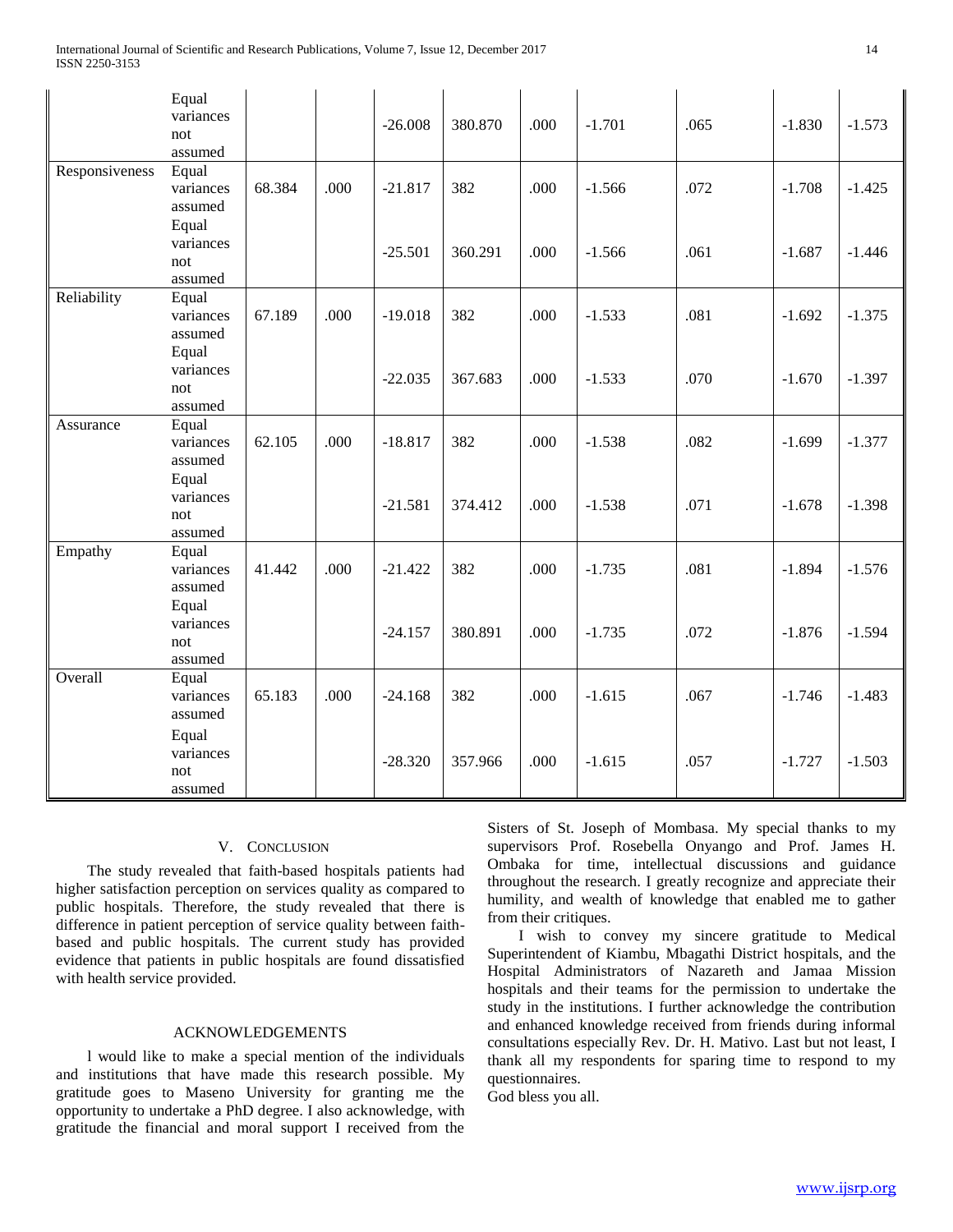|                | Equal<br>variances<br>not<br>assumed   |        |      | $-26.008$ | 380.870 | .000 | $-1.701$ | .065 | $-1.830$ | $-1.573$ |
|----------------|----------------------------------------|--------|------|-----------|---------|------|----------|------|----------|----------|
| Responsiveness | Equal<br>variances<br>assumed          | 68.384 | .000 | $-21.817$ | 382     | .000 | $-1.566$ | .072 | $-1.708$ | $-1.425$ |
|                | Equal<br>variances<br>not<br>assumed   |        |      | $-25.501$ | 360.291 | .000 | $-1.566$ | .061 | $-1.687$ | $-1.446$ |
| Reliability    | Equal<br>variances<br>assumed<br>Equal | 67.189 | .000 | $-19.018$ | 382     | .000 | $-1.533$ | .081 | $-1.692$ | $-1.375$ |
|                | variances<br>not<br>assumed            |        |      | $-22.035$ | 367.683 | .000 | $-1.533$ | .070 | $-1.670$ | $-1.397$ |
| Assurance      | Equal<br>variances<br>assumed          | 62.105 | .000 | $-18.817$ | 382     | .000 | $-1.538$ | .082 | $-1.699$ | $-1.377$ |
|                | Equal<br>variances<br>not<br>assumed   |        |      | $-21.581$ | 374.412 | .000 | $-1.538$ | .071 | $-1.678$ | $-1.398$ |
| Empathy        | Equal<br>variances<br>assumed          | 41.442 | .000 | $-21.422$ | 382     | .000 | $-1.735$ | .081 | $-1.894$ | $-1.576$ |
|                | Equal<br>variances<br>not<br>assumed   |        |      | $-24.157$ | 380.891 | .000 | $-1.735$ | .072 | $-1.876$ | $-1.594$ |
| Overall        | Equal<br>variances<br>assumed          | 65.183 | .000 | $-24.168$ | 382     | .000 | $-1.615$ | .067 | $-1.746$ | $-1.483$ |
|                | Equal<br>variances<br>not<br>assumed   |        |      | $-28.320$ | 357.966 | .000 | $-1.615$ | .057 | $-1.727$ | $-1.503$ |

## V. CONCLUSION

 The study revealed that faith-based hospitals patients had higher satisfaction perception on services quality as compared to public hospitals. Therefore, the study revealed that there is difference in patient perception of service quality between faithbased and public hospitals. The current study has provided evidence that patients in public hospitals are found dissatisfied with health service provided.

### ACKNOWLEDGEMENTS

 l would like to make a special mention of the individuals and institutions that have made this research possible. My gratitude goes to Maseno University for granting me the opportunity to undertake a PhD degree. I also acknowledge, with gratitude the financial and moral support I received from the Sisters of St. Joseph of Mombasa. My special thanks to my supervisors Prof. Rosebella Onyango and Prof. James H. Ombaka for time, intellectual discussions and guidance throughout the research. I greatly recognize and appreciate their humility, and wealth of knowledge that enabled me to gather from their critiques.

 I wish to convey my sincere gratitude to Medical Superintendent of Kiambu, Mbagathi District hospitals, and the Hospital Administrators of Nazareth and Jamaa Mission hospitals and their teams for the permission to undertake the study in the institutions. I further acknowledge the contribution and enhanced knowledge received from friends during informal consultations especially Rev. Dr. H. Mativo. Last but not least, I thank all my respondents for sparing time to respond to my questionnaires.

God bless you all.